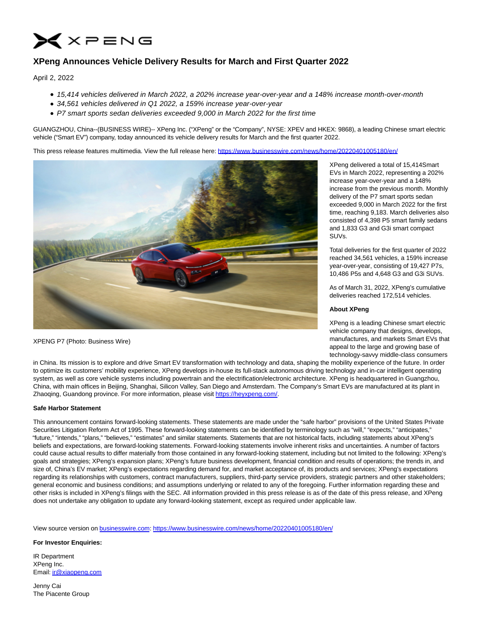

# **XPeng Announces Vehicle Delivery Results for March and First Quarter 2022**

April 2, 2022

- 15,414 vehicles delivered in March 2022, a 202% increase year-over-year and a 148% increase month-over-month
- 34,561 vehicles delivered in Q1 2022, a 159% increase year-over-year
- P7 smart sports sedan deliveries exceeded 9,000 in March 2022 for the first time

GUANGZHOU, China--(BUSINESS WIRE)-- XPeng Inc. ("XPeng" or the "Company", NYSE: XPEV and HKEX: 9868), a leading Chinese smart electric vehicle ("Smart EV") company, today announced its vehicle delivery results for March and the first quarter 2022.

This press release features multimedia. View the full release here:<https://www.businesswire.com/news/home/20220401005180/en/>



XPENG P7 (Photo: Business Wire)

XPeng delivered a total of 15,414Smart EVs in March 2022, representing a 202% increase year-over-year and a 148% increase from the previous month. Monthly delivery of the P7 smart sports sedan exceeded 9,000 in March 2022 for the first time, reaching 9,183. March deliveries also consisted of 4,398 P5 smart family sedans and 1,833 G3 and G3i smart compact SUVs.

Total deliveries for the first quarter of 2022 reached 34,561 vehicles, a 159% increase year-over-year, consisting of 19,427 P7s, 10,486 P5s and 4,648 G3 and G3i SUVs.

As of March 31, 2022, XPeng's cumulative deliveries reached 172,514 vehicles.

#### **About XPeng**

XPeng is a leading Chinese smart electric vehicle company that designs, develops, manufactures, and markets Smart EVs that appeal to the large and growing base of technology-savvy middle-class consumers

in China. Its mission is to explore and drive Smart EV transformation with technology and data, shaping the mobility experience of the future. In order to optimize its customers' mobility experience, XPeng develops in-house its full-stack autonomous driving technology and in-car intelligent operating system, as well as core vehicle systems including powertrain and the electrification/electronic architecture. XPeng is headquartered in Guangzhou, China, with main offices in Beijing, Shanghai, Silicon Valley, San Diego and Amsterdam. The Company's Smart EVs are manufactured at its plant in Zhaoqing, Guandong province. For more information, please visit [https://heyxpeng.com/.](https://cts.businesswire.com/ct/CT?id=smartlink&url=https%3A%2F%2Fheyxpeng.com%2F&esheet=52639263&newsitemid=20220401005180&lan=en-US&anchor=https%3A%2F%2Fheyxpeng.com%2F&index=1&md5=583dfd7309b60dbab912e7da55b2d6d9)

### **Safe Harbor Statement**

This announcement contains forward-looking statements. These statements are made under the "safe harbor" provisions of the United States Private Securities Litigation Reform Act of 1995. These forward-looking statements can be identified by terminology such as "will," "expects," "anticipates," "future," "intends," "plans," "believes," "estimates" and similar statements. Statements that are not historical facts, including statements about XPeng's beliefs and expectations, are forward-looking statements. Forward-looking statements involve inherent risks and uncertainties. A number of factors could cause actual results to differ materially from those contained in any forward-looking statement, including but not limited to the following: XPeng's goals and strategies; XPeng's expansion plans; XPeng's future business development, financial condition and results of operations; the trends in, and size of, China's EV market; XPeng's expectations regarding demand for, and market acceptance of, its products and services; XPeng's expectations regarding its relationships with customers, contract manufacturers, suppliers, third-party service providers, strategic partners and other stakeholders; general economic and business conditions; and assumptions underlying or related to any of the foregoing. Further information regarding these and other risks is included in XPeng's filings with the SEC. All information provided in this press release is as of the date of this press release, and XPeng does not undertake any obligation to update any forward-looking statement, except as required under applicable law.

View source version on [businesswire.com:](http://businesswire.com/)<https://www.businesswire.com/news/home/20220401005180/en/>

### **For Investor Enquiries:**

IR Department XPeng Inc. Email[: ir@xiaopeng.com](mailto:ir@xiaopeng.com)

Jenny Cai The Piacente Group